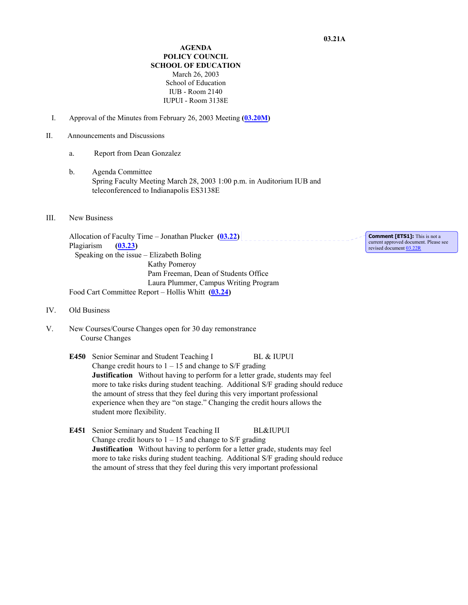**AGENDA POLICY COUNCIL SCHOOL OF EDUCATION** March 26, 2003 School of Education IUB - Room 2140 IUPUI - Room 3138E

- I. Approval of the Minutes from February 26, 2003 Meeting **(03.20M)**
- II. Announcements and Discussions
	- a. Report from Dean Gonzalez
	- b. Agenda Committee Spring Faculty Meeting March 28, 2003 1:00 p.m. in Auditorium IUB and teleconferenced to Indianapolis ES3138E
- III. New Business

Allocation of Faculty Time – Jonathan Plucker  $(03.22)$ Plagiarism **(03.23)**  Speaking on the issue – Elizabeth Boling Kathy Pomeroy Pam Freeman, Dean of Students Office Laura Plummer, Campus Writing Program Food Cart Committee Report – Hollis Whitt **(03.24)** 

- IV. Old Business
- V. New Courses/Course Changes open for 30 day remonstrance Course Changes
	- E450 Senior Seminar and Student Teaching I BL & IUPUI Change credit hours to  $1 - 15$  and change to S/F grading **Justification** Without having to perform for a letter grade, students may feel more to take risks during student teaching. Additional S/F grading should reduce the amount of stress that they feel during this very important professional experience when they are "on stage." Changing the credit hours allows the student more flexibility.
	- **E451** Senior Seminary and Student Teaching II BL&IUPUI Change credit hours to  $1 - 15$  and change to S/F grading **Justification** Without having to perform for a letter grade, students may feel more to take risks during student teaching. Additional S/F grading should reduce the amount of stress that they feel during this very important professional

**Comment [ETS1]:** This is not a current approved document. Please see revised document 03.22R